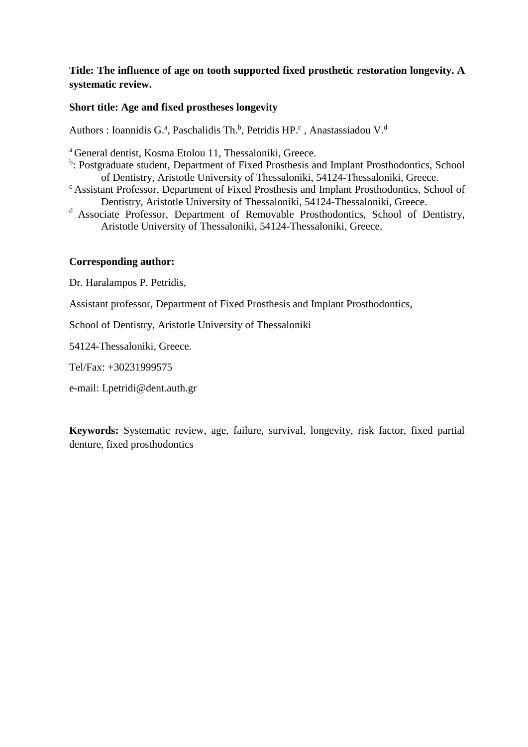# **Title: The influence of age on tooth supported fixed prosthetic restoration longevity. A systematic review.**

## **Short title: Age and fixed prostheses longevity**

Authors : Ioannidis G.ª, Paschalidis Th.<sup>b</sup>, Petridis HP.<sup>c</sup>, Anastassiadou V.<sup>d</sup>

<sup>a</sup>General dentist, Kosma Etolou 11, Thessaloniki, Greece.

- <sup>b</sup>: Postgraduate student, Department of Fixed Prosthesis and Implant Prosthodontics, School of Dentistry, Aristotle University of Thessaloniki, 54124-Thessaloniki, Greece.
- <sup>c</sup> Assistant Professor, Department of Fixed Prosthesis and Implant Prosthodontics, School of Dentistry, Aristotle University of Thessaloniki, 54124-Thessaloniki, Greece.
- <sup>d</sup> Associate Professor, Department of Removable Prosthodontics, School of Dentistry, Aristotle University of Thessaloniki, 54124-Thessaloniki, Greece.

## **Corresponding author:**

Dr. Haralampos P. Petridis,

Assistant professor, Department of Fixed Prosthesis and Implant Prosthodontics,

School of Dentistry, Aristotle University of Thessaloniki

54124-Thessaloniki, Greece.

Tel/Fax: +30231999575

e-mail: Lpetridi@dent.auth.gr

**Keywords:** Systematic review, age, failure, survival, longevity, risk factor, fixed partial denture, fixed prosthodontics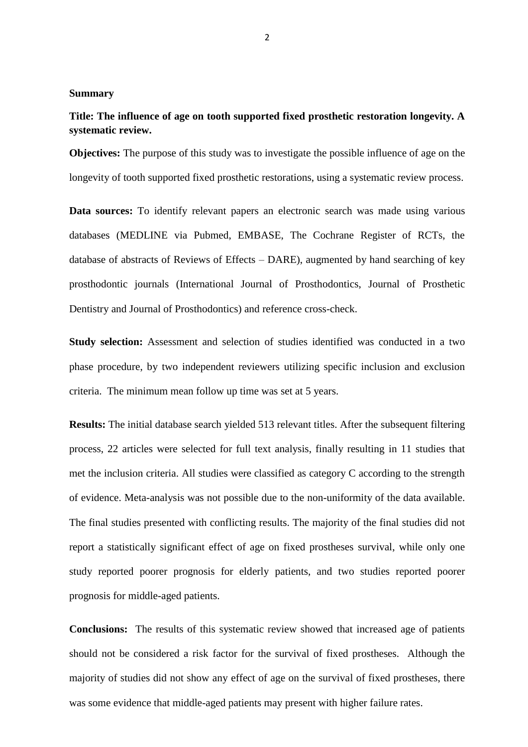## **Summary**

# **Title: The influence of age on tooth supported fixed prosthetic restoration longevity. A systematic review.**

**Objectives:** The purpose of this study was to investigate the possible influence of age on the longevity of tooth supported fixed prosthetic restorations, using a systematic review process.

**Data sources:** To identify relevant papers an electronic search was made using various databases (MEDLINE via Pubmed, EMBASE, The Cochrane Register of RCTs, the database of abstracts of Reviews of Effects – DARE), augmented by hand searching of key prosthodontic journals (International Journal of Prosthodontics, Journal of Prosthetic Dentistry and Journal of Prosthodontics) and reference cross-check.

**Study selection:** Assessment and selection of studies identified was conducted in a two phase procedure, by two independent reviewers utilizing specific inclusion and exclusion criteria. The minimum mean follow up time was set at 5 years.

**Results:** The initial database search yielded 513 relevant titles. After the subsequent filtering process, 22 articles were selected for full text analysis, finally resulting in 11 studies that met the inclusion criteria. All studies were classified as category C according to the strength of evidence. Meta-analysis was not possible due to the non-uniformity of the data available. The final studies presented with conflicting results. The majority of the final studies did not report a statistically significant effect of age on fixed prostheses survival, while only one study reported poorer prognosis for elderly patients, and two studies reported poorer prognosis for middle-aged patients.

**Conclusions:** The results of this systematic review showed that increased age of patients should not be considered a risk factor for the survival of fixed prostheses. Although the majority of studies did not show any effect of age on the survival of fixed prostheses, there was some evidence that middle-aged patients may present with higher failure rates.

2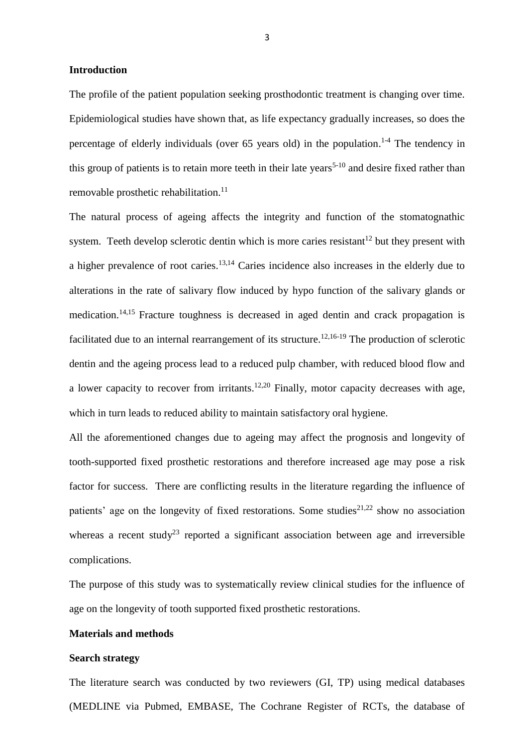#### **Introduction**

The profile of the patient population seeking prosthodontic treatment is changing over time. Epidemiological studies have shown that, as life expectancy gradually increases, so does the percentage of elderly individuals (over 65 years old) in the population.<sup>1-4</sup> The tendency in this group of patients is to retain more teeth in their late years<sup>5-10</sup> and desire fixed rather than removable prosthetic rehabilitation.<sup>11</sup>

The natural process of ageing affects the integrity and function of the stomatognathic system. Teeth develop sclerotic dentin which is more caries resistant<sup>12</sup> but they present with a higher prevalence of root caries.<sup>13,14</sup> Caries incidence also increases in the elderly due to alterations in the rate of salivary flow induced by hypo function of the salivary glands or medication.<sup>14,15</sup> Fracture toughness is decreased in aged dentin and crack propagation is facilitated due to an internal rearrangement of its structure.<sup>12,16-19</sup> The production of sclerotic dentin and the ageing process lead to a reduced pulp chamber, with reduced blood flow and a lower capacity to recover from irritants.<sup>12,20</sup> Finally, motor capacity decreases with age, which in turn leads to reduced ability to maintain satisfactory oral hygiene.

All the aforementioned changes due to ageing may affect the prognosis and longevity of tooth-supported fixed prosthetic restorations and therefore increased age may pose a risk factor for success. There are conflicting results in the literature regarding the influence of patients' age on the longevity of fixed restorations. Some studies<sup>21,22</sup> show no association whereas a recent study<sup>23</sup> reported a significant association between age and irreversible complications.

The purpose of this study was to systematically review clinical studies for the influence of age on the longevity of tooth supported fixed prosthetic restorations.

#### **Materials and methods**

### **Search strategy**

The literature search was conducted by two reviewers (GI, TP) using medical databases (MEDLINE via Pubmed, EMBASE, The Cochrane Register of RCTs, the database of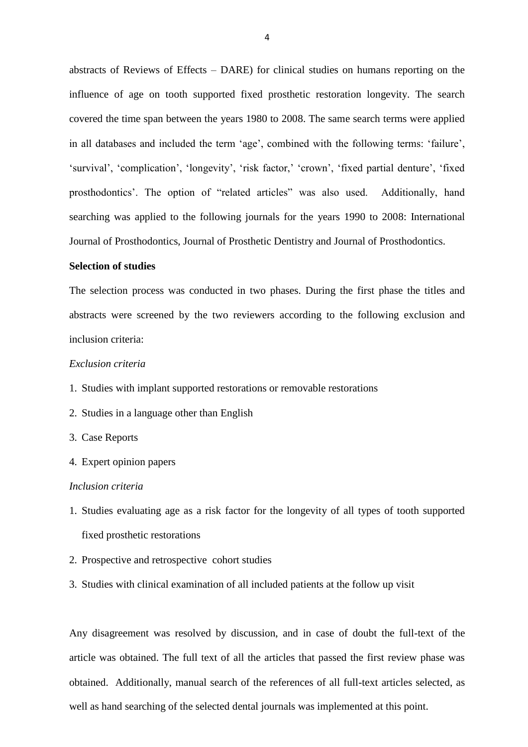abstracts of Reviews of Effects – DARE) for clinical studies on humans reporting on the influence of age on tooth supported fixed prosthetic restoration longevity. The search covered the time span between the years 1980 to 2008. The same search terms were applied in all databases and included the term 'age', combined with the following terms: 'failure', 'survival', 'complication', 'longevity', 'risk factor,' 'crown', 'fixed partial denture', 'fixed prosthodontics'. The option of "related articles" was also used. Additionally, hand searching was applied to the following journals for the years 1990 to 2008: International Journal of Prosthodontics, Journal of Prosthetic Dentistry and Journal of Prosthodontics.

### **Selection of studies**

The selection process was conducted in two phases. During the first phase the titles and abstracts were screened by the two reviewers according to the following exclusion and inclusion criteria:

## *Exclusion criteria*

- 1. Studies with implant supported restorations or removable restorations
- 2. Studies in a language other than English
- 3. Case Reports
- 4. Expert opinion papers

#### *Inclusion criteria*

- 1. Studies evaluating age as a risk factor for the longevity of all types of tooth supported fixed prosthetic restorations
- 2. Prospective and retrospective cohort studies
- 3. Studies with clinical examination of all included patients at the follow up visit

Any disagreement was resolved by discussion, and in case of doubt the full-text of the article was obtained. The full text of all the articles that passed the first review phase was obtained. Additionally, manual search of the references of all full-text articles selected, as well as hand searching of the selected dental journals was implemented at this point.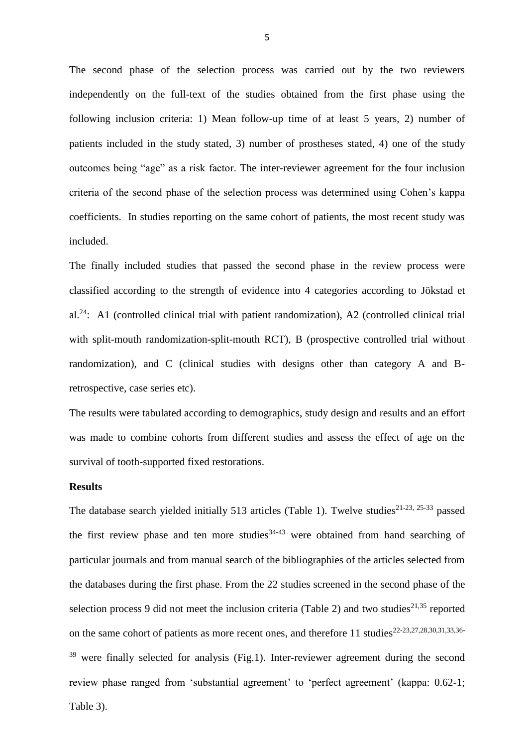The second phase of the selection process was carried out by the two reviewers independently on the full-text of the studies obtained from the first phase using the following inclusion criteria: 1) Mean follow-up time of at least 5 years, 2) number of patients included in the study stated, 3) number of prostheses stated, 4) one of the study outcomes being "age" as a risk factor. The inter-reviewer agreement for the four inclusion criteria of the second phase of the selection process was determined using Cohen's kappa coefficients. In studies reporting on the same cohort of patients, the most recent study was included.

The finally included studies that passed the second phase in the review process were classified according to the strength of evidence into 4 categories according to Jökstad et al.<sup>24</sup>: A1 (controlled clinical trial with patient randomization), A2 (controlled clinical trial with split-mouth randomization-split-mouth RCT), B (prospective controlled trial without randomization), and C (clinical studies with designs other than category A and Bretrospective, case series etc).

The results were tabulated according to demographics, study design and results and an effort was made to combine cohorts from different studies and assess the effect of age on the survival of tooth-supported fixed restorations.

## **Results**

The database search yielded initially 513 articles (Table 1). Twelve studies<sup>21-23, 25-33</sup> passed the first review phase and ten more studies  $34-43$  were obtained from hand searching of particular journals and from manual search of the bibliographies of the articles selected from the databases during the first phase. From the 22 studies screened in the second phase of the selection process 9 did not meet the inclusion criteria (Table 2) and two studies<sup>21,35</sup> reported on the same cohort of patients as more recent ones, and therefore 11 studies $22-23,27,28,30,31,33,36 39$  were finally selected for analysis (Fig.1). Inter-reviewer agreement during the second review phase ranged from 'substantial agreement' to 'perfect agreement' (kappa: 0.62-1; Table 3).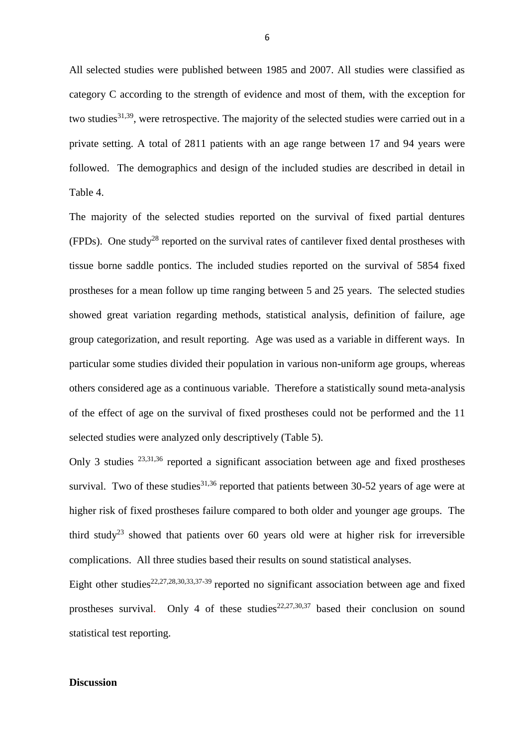All selected studies were published between 1985 and 2007. All studies were classified as category C according to the strength of evidence and most of them, with the exception for two studies<sup>31,39</sup>, were retrospective. The majority of the selected studies were carried out in a private setting. A total of 2811 patients with an age range between 17 and 94 years were followed. The demographics and design of the included studies are described in detail in Table 4.

The majority of the selected studies reported on the survival of fixed partial dentures (FPDs). One study<sup>28</sup> reported on the survival rates of cantilever fixed dental prostheses with tissue borne saddle pontics. The included studies reported on the survival of 5854 fixed prostheses for a mean follow up time ranging between 5 and 25 years. The selected studies showed great variation regarding methods, statistical analysis, definition of failure, age group categorization, and result reporting. Age was used as a variable in different ways. In particular some studies divided their population in various non-uniform age groups, whereas others considered age as a continuous variable. Therefore a statistically sound meta-analysis of the effect of age on the survival of fixed prostheses could not be performed and the 11 selected studies were analyzed only descriptively (Table 5).

Only 3 studies <sup>23,31,36</sup> reported a significant association between age and fixed prostheses survival. Two of these studies<sup>31,36</sup> reported that patients between 30-52 years of age were at higher risk of fixed prostheses failure compared to both older and younger age groups. The third study<sup>23</sup> showed that patients over 60 years old were at higher risk for irreversible complications. All three studies based their results on sound statistical analyses.

Eight other studies<sup>22,27,28,30,33,37-39</sup> reported no significant association between age and fixed prostheses survival. Only 4 of these studies<sup>22,27,30,37</sup> based their conclusion on sound statistical test reporting.

#### **Discussion**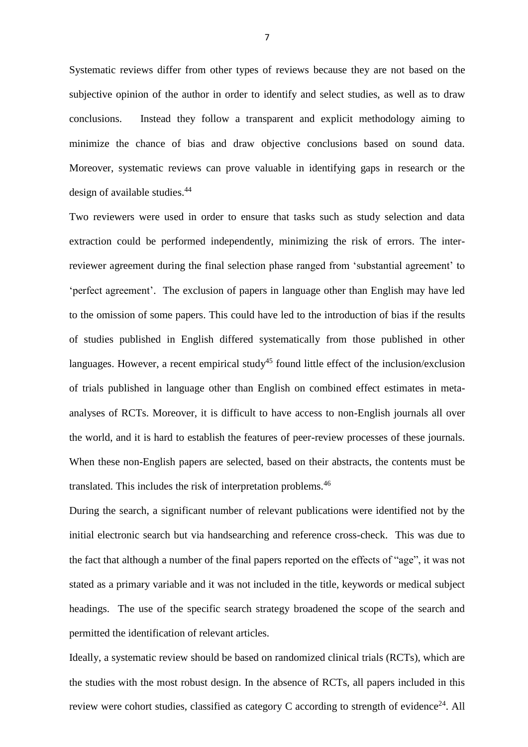Systematic reviews differ from other types of reviews because they are not based on the subjective opinion of the author in order to identify and select studies, as well as to draw conclusions. Instead they follow a transparent and explicit methodology aiming to minimize the chance of bias and draw objective conclusions based on sound data. Moreover, systematic reviews can prove valuable in identifying gaps in research or the design of available studies.<sup>44</sup>

Two reviewers were used in order to ensure that tasks such as study selection and data extraction could be performed independently, minimizing the risk of errors. The interreviewer agreement during the final selection phase ranged from 'substantial agreement' to 'perfect agreement'. The exclusion of papers in language other than English may have led to the omission of some papers. This could have led to the introduction of bias if the results of studies published in English differed systematically from those published in other languages. However, a recent empirical study<sup>45</sup> found little effect of the inclusion/exclusion of trials published in language other than English on combined effect estimates in metaanalyses of RCTs. Moreover, it is difficult to have access to non-English journals all over the world, and it is hard to establish the features of peer-review processes of these journals. When these non-English papers are selected, based on their abstracts, the contents must be translated. This includes the risk of interpretation problems.<sup>46</sup>

During the search, a significant number of relevant publications were identified not by the initial electronic search but via handsearching and reference cross-check. This was due to the fact that although a number of the final papers reported on the effects of "age", it was not stated as a primary variable and it was not included in the title, keywords or medical subject headings. The use of the specific search strategy broadened the scope of the search and permitted the identification of relevant articles.

Ideally, a systematic review should be based on randomized clinical trials (RCTs), which are the studies with the most robust design. In the absence of RCTs, all papers included in this review were cohort studies, classified as category C according to strength of evidence<sup>24</sup>. All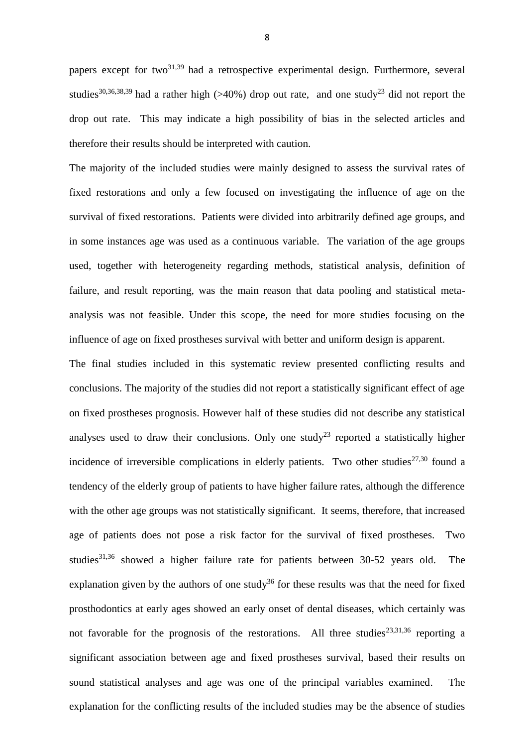papers except for two $31,39$  had a retrospective experimental design. Furthermore, several studies<sup>30,36,38,39</sup> had a rather high (>40%) drop out rate, and one study<sup>23</sup> did not report the drop out rate. This may indicate a high possibility of bias in the selected articles and therefore their results should be interpreted with caution.

The majority of the included studies were mainly designed to assess the survival rates of fixed restorations and only a few focused on investigating the influence of age on the survival of fixed restorations. Patients were divided into arbitrarily defined age groups, and in some instances age was used as a continuous variable. The variation of the age groups used, together with heterogeneity regarding methods, statistical analysis, definition of failure, and result reporting, was the main reason that data pooling and statistical metaanalysis was not feasible. Under this scope, the need for more studies focusing on the influence of age on fixed prostheses survival with better and uniform design is apparent.

The final studies included in this systematic review presented conflicting results and conclusions. The majority of the studies did not report a statistically significant effect of age on fixed prostheses prognosis. However half of these studies did not describe any statistical analyses used to draw their conclusions. Only one study<sup>23</sup> reported a statistically higher incidence of irreversible complications in elderly patients. Two other studies<sup>27,30</sup> found a tendency of the elderly group of patients to have higher failure rates, although the difference with the other age groups was not statistically significant. It seems, therefore, that increased age of patients does not pose a risk factor for the survival of fixed prostheses. Two studies<sup>31,36</sup> showed a higher failure rate for patients between 30-52 years old. The explanation given by the authors of one study<sup>36</sup> for these results was that the need for fixed prosthodontics at early ages showed an early onset of dental diseases, which certainly was not favorable for the prognosis of the restorations. All three studies<sup>23,31,36</sup> reporting a significant association between age and fixed prostheses survival, based their results on sound statistical analyses and age was one of the principal variables examined. The explanation for the conflicting results of the included studies may be the absence of studies

8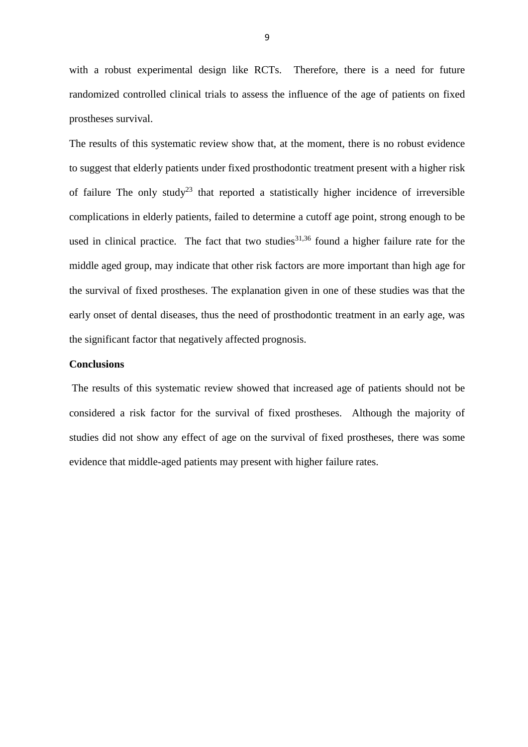with a robust experimental design like RCTs. Therefore, there is a need for future randomized controlled clinical trials to assess the influence of the age of patients on fixed prostheses survival.

The results of this systematic review show that, at the moment, there is no robust evidence to suggest that elderly patients under fixed prosthodontic treatment present with a higher risk of failure The only study<sup>23</sup> that reported a statistically higher incidence of irreversible complications in elderly patients, failed to determine a cutoff age point, strong enough to be used in clinical practice. The fact that two studies<sup>31,36</sup> found a higher failure rate for the middle aged group, may indicate that other risk factors are more important than high age for the survival of fixed prostheses. The explanation given in one of these studies was that the early onset of dental diseases, thus the need of prosthodontic treatment in an early age, was the significant factor that negatively affected prognosis.

## **Conclusions**

The results of this systematic review showed that increased age of patients should not be considered a risk factor for the survival of fixed prostheses. Although the majority of studies did not show any effect of age on the survival of fixed prostheses, there was some evidence that middle-aged patients may present with higher failure rates.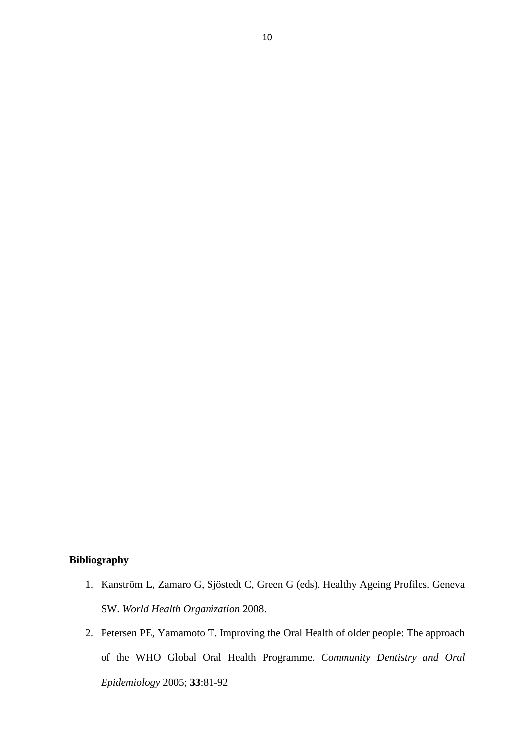# **Bibliography**

- 1. Kanström L, Zamaro G, Sjöstedt C, Green G (eds). Healthy Ageing Profiles. Geneva SW. *World Health Organization* 2008.
- 2. Petersen PE, Yamamoto T. Improving the Oral Health of older people: The approach of the WHO Global Oral Health Programme. *Community Dentistry and Oral Epidemiology* 2005; **33**:81-92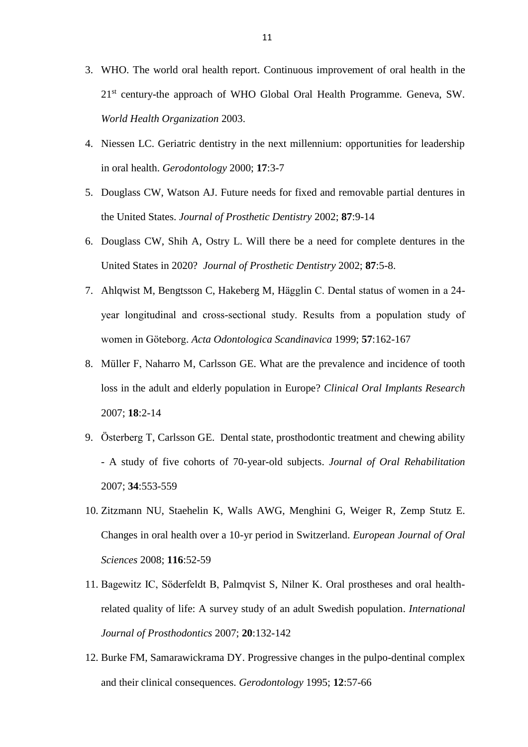- 3. WHO. The world oral health report. Continuous improvement of oral health in the 21<sup>st</sup> century-the approach of WHO Global Oral Health Programme. Geneva, SW. *World Health Organization* 2003.
- 4. Niessen LC. Geriatric dentistry in the next millennium: opportunities for leadership in oral health. *Gerodontology* 2000; **17**:3-7
- 5. Douglass CW, Watson AJ. Future needs for fixed and removable partial dentures in the United States. *Journal of Prosthetic Dentistry* 2002; **87**:9-14
- 6. Douglass CW, Shih A, Ostry L. Will there be a need for complete dentures in the United States in 2020? *Journal of Prosthetic Dentistry* 2002; **87**:5-8.
- 7. Ahlqwist M, Bengtsson C, Hakeberg M, Hägglin C. Dental status of women in a 24 year longitudinal and cross-sectional study. Results from a population study of women in Göteborg. *Acta Odontologica Scandinavica* 1999; **57**:162-167
- 8. Müller F, Naharro M, Carlsson GE. What are the prevalence and incidence of tooth loss in the adult and elderly population in Europe? *Clinical Oral Implants Research* 2007; **18**:2-14
- 9. Österberg T, Carlsson GE. Dental state, prosthodontic treatment and chewing ability - A study of five cohorts of 70-year-old subjects. *Journal of Oral Rehabilitation*  2007; **34**:553-559
- 10. Zitzmann NU, Staehelin K, Walls AWG, Menghini G, Weiger R, Zemp Stutz E. Changes in oral health over a 10-yr period in Switzerland. *European Journal of Oral Sciences* 2008; **116**:52-59
- 11. Bagewitz IC, Söderfeldt B, Palmqvist S, Nilner K. Oral prostheses and oral healthrelated quality of life: A survey study of an adult Swedish population. *International Journal of Prosthodontics* 2007; **20**:132-142
- 12. Burke FM, Samarawickrama DY. Progressive changes in the pulpo-dentinal complex and their clinical consequences. *Gerodontology* 1995; **12**:57-66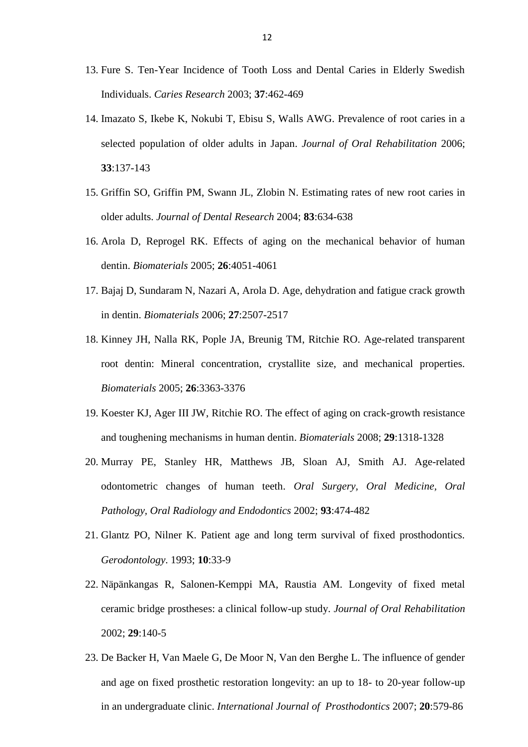- 13. Fure S. Ten-Year Incidence of Tooth Loss and Dental Caries in Elderly Swedish Individuals. *Caries Research* 2003; **37**:462-469
- 14. Imazato S, Ikebe K, Nokubi T, Ebisu S, Walls AWG. Prevalence of root caries in a selected population of older adults in Japan. *Journal of Oral Rehabilitation* 2006; **33**:137-143
- 15. Griffin SO, Griffin PM, Swann JL, Zlobin N. Estimating rates of new root caries in older adults. *Journal of Dental Research* 2004; **83**:634-638
- 16. Arola D, Reprogel RK. Effects of aging on the mechanical behavior of human dentin. *Biomaterials* 2005; **26**:4051-4061
- 17. Bajaj D, Sundaram N, Nazari A, Arola D. Age, dehydration and fatigue crack growth in dentin. *Biomaterials* 2006; **27**:2507-2517
- 18. Kinney JH, Nalla RK, Pople JA, Breunig TM, Ritchie RO. Age-related transparent root dentin: Mineral concentration, crystallite size, and mechanical properties. *Biomaterials* 2005; **26**:3363-3376
- 19. Koester KJ, Ager III JW, Ritchie RO. The effect of aging on crack-growth resistance and toughening mechanisms in human dentin. *Biomaterials* 2008; **29**:1318-1328
- 20. Murray PE, Stanley HR, Matthews JB, Sloan AJ, Smith AJ. Age-related odontometric changes of human teeth. *Oral Surgery, Oral Medicine, Oral Pathology, Oral Radiology and Endodontics* 2002; **93**:474-482
- 21. Glantz PO, Nilner K. Patient age and long term survival of fixed prosthodontics. *Gerodontology*. 1993; **10**:33-9
- 22. Näpänkangas R, Salonen-Kemppi MA, Raustia AM. Longevity of fixed metal ceramic bridge prostheses: a clinical follow-up study. *Journal of Oral Rehabilitation* 2002; **29**:140-5
- 23. De Backer H, Van Maele G, De Moor N, Van den Berghe L. The influence of gender and age on fixed prosthetic restoration longevity: an up to 18- to 20-year follow-up in an undergraduate clinic. *International Journal of Prosthodontics* 2007; **20**:579-86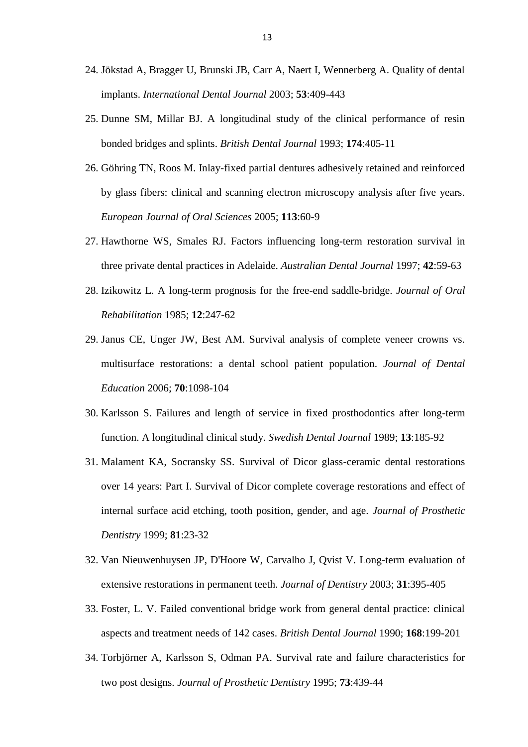- 24. Jökstad A, Bragger U, Brunski JB, Carr A, Naert I, Wennerberg A. Quality of dental implants. *International Dental Journal* 2003; **53**:409-443
- 25. Dunne SM, Millar BJ. A longitudinal study of the clinical performance of resin bonded bridges and splints. *British Dental Journal* 1993; **174**:405-11
- 26. Göhring TN, Roos M. Inlay-fixed partial dentures adhesively retained and reinforced by glass fibers: clinical and scanning electron microscopy analysis after five years. *European Journal of Oral Sciences* 2005; **113**:60-9
- 27. Hawthorne WS, Smales RJ. Factors influencing long-term restoration survival in three private dental practices in Adelaide. *Australian Dental Journal* 1997; **42**:59-63
- 28. Izikowitz L. A long-term prognosis for the free-end saddle-bridge. *Journal of Oral Rehabilitation* 1985; **12**:247-62
- 29. Janus CE, Unger JW, Best AM. Survival analysis of complete veneer crowns vs. multisurface restorations: a dental school patient population. *Journal of Dental Education* 2006; **70**:1098-104
- 30. Karlsson S. Failures and length of service in fixed prosthodontics after long-term function. A longitudinal clinical study. *Swedish Dental Journal* 1989; **13**:185-92
- 31. Malament KA, Socransky SS. Survival of Dicor glass-ceramic dental restorations over 14 years: Part I. Survival of Dicor complete coverage restorations and effect of internal surface acid etching, tooth position, gender, and age. *Journal of Prosthetic Dentistry* 1999; **81**:23-32
- 32. Van Nieuwenhuysen JP, D'Hoore W, Carvalho J, Qvist V. Long-term evaluation of extensive restorations in permanent teeth. *Journal of Dentistry* 2003; **31**:395-405
- 33. Foster, L. V. Failed conventional bridge work from general dental practice: clinical aspects and treatment needs of 142 cases. *British Dental Journal* 1990; **168**:199-201
- 34. Torbjörner A, Karlsson S, Odman PA. Survival rate and failure characteristics for two post designs. *Journal of Prosthetic Dentistry* 1995; **73**:439-44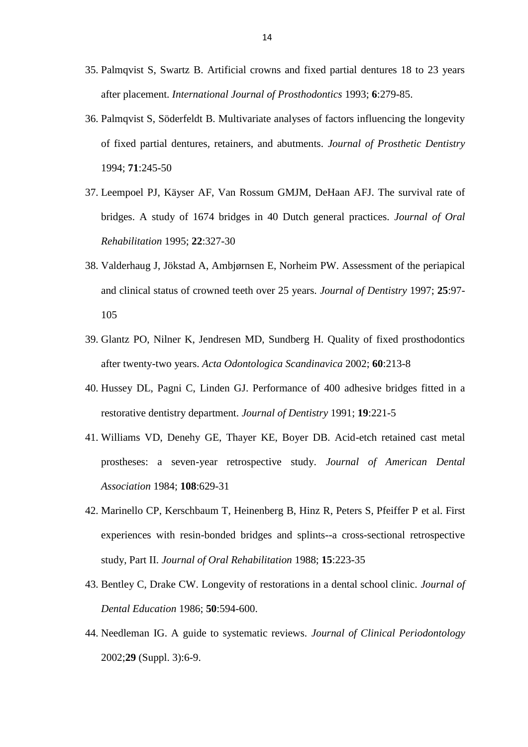- 35. Palmqvist S, Swartz B. Artificial crowns and fixed partial dentures 18 to 23 years after placement. *International Journal of Prosthodontics* 1993; **6**:279-85.
- 36. Palmqvist S, Söderfeldt B. Multivariate analyses of factors influencing the longevity of fixed partial dentures, retainers, and abutments. *Journal of Prosthetic Dentistry* 1994; **71**:245-50
- 37. Leempoel PJ, Käyser AF, Van Rossum GMJM, DeHaan AFJ. The survival rate of bridges. A study of 1674 bridges in 40 Dutch general practices. *Journal of Oral Rehabilitation* 1995; **22**:327-30
- 38. Valderhaug J, Jökstad A, Ambjørnsen E, Norheim PW. Assessment of the periapical and clinical status of crowned teeth over 25 years. *Journal of Dentistry* 1997; **25**:97- 105
- 39. Glantz PO, Nilner K, Jendresen MD, Sundberg H. Quality of fixed prosthodontics after twenty-two years. *Acta Odontologica Scandinavica* 2002; **60**:213-8
- 40. Hussey DL, Pagni C, Linden GJ. Performance of 400 adhesive bridges fitted in a restorative dentistry department. *Journal of Dentistry* 1991; **19**:221-5
- 41. Williams VD, Denehy GE, Thayer KE, Boyer DB. Acid-etch retained cast metal prostheses: a seven-year retrospective study. *Journal of American Dental Association* 1984; **108**:629-31
- 42. Marinello CP, Kerschbaum T, Heinenberg B, Hinz R, Peters S, Pfeiffer P et al. First experiences with resin-bonded bridges and splints--a cross-sectional retrospective study, Part II. *Journal of Oral Rehabilitation* 1988; **15**:223-35
- 43. Bentley C, Drake CW. Longevity of restorations in a dental school clinic. *Journal of Dental Education* 1986; **50**:594-600.
- 44. Needleman IG. A guide to systematic reviews. *Journal of Clinical Periodontology* 2002;**29** (Suppl. 3):6-9.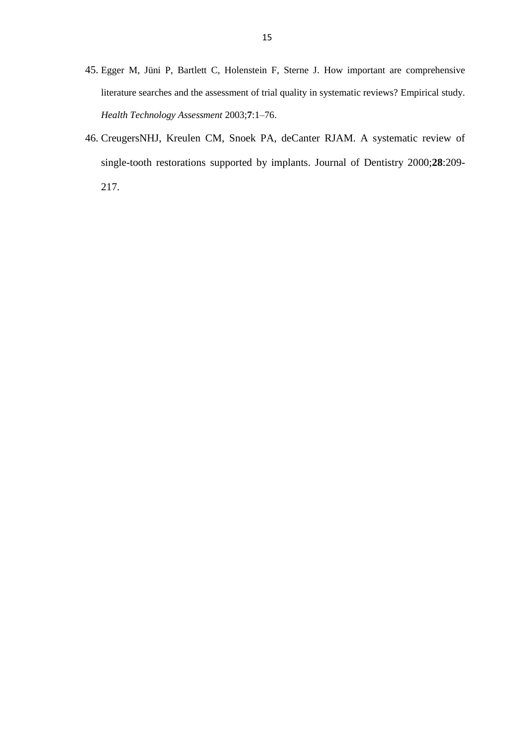- 45. Egger M, Jüni P, Bartlett C, Holenstein F, Sterne J. How important are comprehensive literature searches and the assessment of trial quality in systematic reviews? Empirical study. *Health Technology Assessment* 2003;**7**:1–76.
- 46. CreugersNHJ, Kreulen CM, Snoek PA, deCanter RJAM. A systematic review of single-tooth restorations supported by implants. Journal of Dentistry 2000;**28**:209- 217.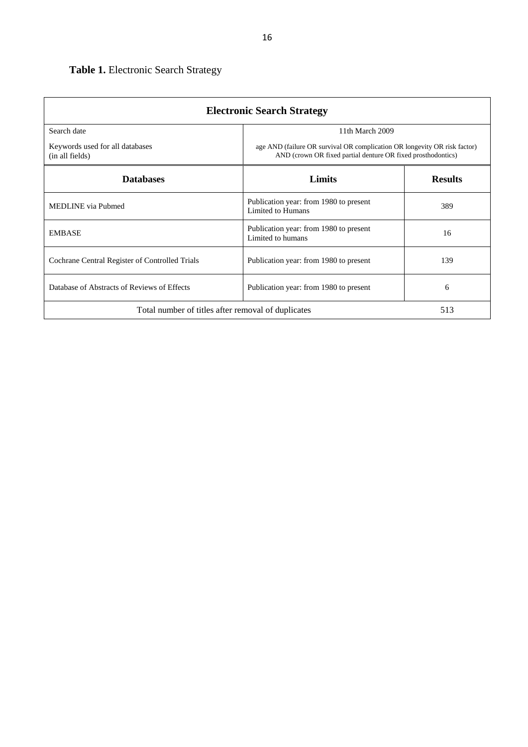| <b>Electronic Search Strategy</b>                  |                                                                                                                                           |                |  |  |  |  |  |  |
|----------------------------------------------------|-------------------------------------------------------------------------------------------------------------------------------------------|----------------|--|--|--|--|--|--|
| Search date<br>11th March 2009                     |                                                                                                                                           |                |  |  |  |  |  |  |
| Keywords used for all databases<br>(in all fields) | age AND (failure OR survival OR complication OR longevity OR risk factor)<br>AND (crown OR fixed partial denture OR fixed prosthodontics) |                |  |  |  |  |  |  |
| <b>Databases</b>                                   | Limits                                                                                                                                    | <b>Results</b> |  |  |  |  |  |  |
| <b>MEDLINE</b> via Pubmed                          | Publication year: from 1980 to present<br>Limited to Humans                                                                               | 389            |  |  |  |  |  |  |
| <b>EMBASE</b>                                      | Publication year: from 1980 to present<br>Limited to humans                                                                               | 16             |  |  |  |  |  |  |
| Cochrane Central Register of Controlled Trials     | Publication year: from 1980 to present                                                                                                    | 139            |  |  |  |  |  |  |
| Database of Abstracts of Reviews of Effects        | Publication year: from 1980 to present                                                                                                    | 6              |  |  |  |  |  |  |
| Total number of titles after removal of duplicates |                                                                                                                                           | 513            |  |  |  |  |  |  |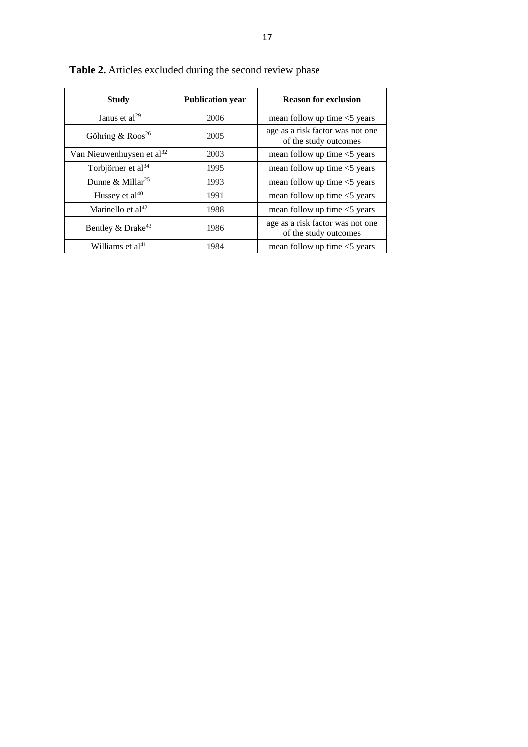| <b>Study</b>                          | <b>Publication year</b> | <b>Reason for exclusion</b>                               |
|---------------------------------------|-------------------------|-----------------------------------------------------------|
| Janus et $al^{29}$                    | 2006                    | mean follow up time $<$ 5 years                           |
| Göhring & $R$ oos <sup>26</sup>       | 2005                    | age as a risk factor was not one<br>of the study outcomes |
| Van Nieuwenhuysen et al <sup>32</sup> | 2003                    | mean follow up time $<$ years                             |
| Torbjörner et al <sup>34</sup>        | 1995                    | mean follow up time $<$ years                             |
| Dunne & Millar <sup>25</sup>          | 1993                    | mean follow up time $<$ years                             |
| Hussey et $al^{40}$                   | 1991                    | mean follow up time $<$ 5 years                           |
| Marinello et al <sup>42</sup>         | 1988                    | mean follow up time $<$ 5 years                           |
| Bentley & Drake <sup>43</sup>         | 1986                    | age as a risk factor was not one<br>of the study outcomes |
| Williams et al <sup>41</sup>          | 1984                    | mean follow up time $<$ years                             |

**Table 2.** Articles excluded during the second review phase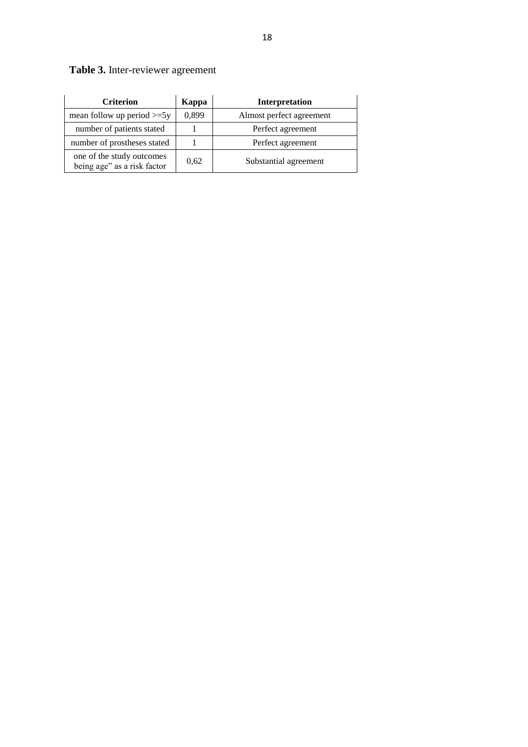| Table 3. Inter-reviewer agreement |  |
|-----------------------------------|--|
|                                   |  |

| <b>Criterion</b>                                         | Kappa | <b>Interpretation</b>    |
|----------------------------------------------------------|-------|--------------------------|
| mean follow up period $>=5y$                             | 0,899 | Almost perfect agreement |
| number of patients stated                                |       | Perfect agreement        |
| number of prostheses stated                              |       | Perfect agreement        |
| one of the study outcomes<br>being age" as a risk factor | 0.62  | Substantial agreement    |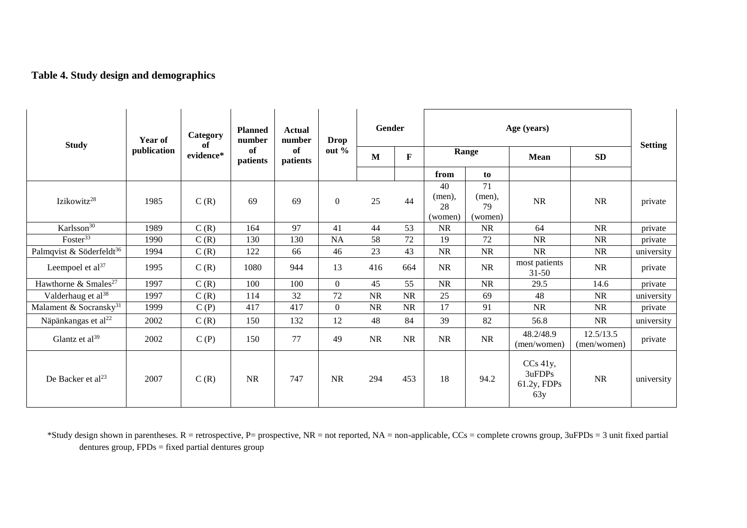# **Table 4. Study design and demographics**

| <b>Study</b>                         | Year of     | Category<br>of | <b>Planned</b><br>number | <b>Actual</b><br>number<br>of<br>patients | <b>Drop</b>    | Gender       |             | Age (years)          |                    |                                               |                          | <b>Setting</b> |
|--------------------------------------|-------------|----------------|--------------------------|-------------------------------------------|----------------|--------------|-------------|----------------------|--------------------|-----------------------------------------------|--------------------------|----------------|
|                                      | publication | evidence*      | of<br>patients           |                                           | out $%$        | $\mathbf{M}$ | $\mathbf F$ | Range                |                    | <b>Mean</b>                                   |                          |                |
|                                      |             |                |                          |                                           |                |              |             | from                 | to                 |                                               |                          |                |
| Izikowitz <sup>28</sup>              | 1985        | C(R)           | 69                       | 69                                        | $\overline{0}$ | 25           | 44          | 40<br>(men),<br>28   | 71<br>(men),<br>79 | <b>NR</b>                                     | <b>NR</b>                | private        |
| Karlsson <sup>30</sup>               | 1989        | C(R)           | 164                      | 97                                        | 41             | 44           | 53          | (women)<br><b>NR</b> | (women)<br>NR      | 64                                            | NR                       | private        |
| Foster <sup>33</sup>                 | 1990        | C(R)           | 130                      | 130                                       | <b>NA</b>      | 58           | 72          | 19                   | 72                 | <b>NR</b>                                     | <b>NR</b>                | private        |
| Palmqvist & Söderfeldt <sup>36</sup> | 1994        | C(R)           | 122                      | 66                                        | 46             | 23           | 43          | <b>NR</b>            | <b>NR</b>          | <b>NR</b>                                     | <b>NR</b>                | university     |
| Leempoel et al <sup>37</sup>         | 1995        | C(R)           | 1080                     | 944                                       | 13             | 416          | 664         | <b>NR</b>            | <b>NR</b>          | most patients<br>$31 - 50$                    | NR                       | private        |
| Hawthorne & Smales <sup>27</sup>     | 1997        | C(R)           | 100                      | 100                                       | $\Omega$       | 45           | 55          | NR                   | NR                 | 29.5                                          | 14.6                     | private        |
| Valderhaug et al <sup>38</sup>       | 1997        | C(R)           | 114                      | 32                                        | 72             | NR           | <b>NR</b>   | 25                   | 69                 | 48                                            | <b>NR</b>                | university     |
| Malament & Socransky <sup>31</sup>   | 1999        | C(P)           | 417                      | 417                                       | $\overline{0}$ | <b>NR</b>    | <b>NR</b>   | 17                   | 91                 | <b>NR</b>                                     | <b>NR</b>                | private        |
| Näpänkangas et al <sup>22</sup>      | 2002        | C(R)           | 150                      | 132                                       | 12             | 48           | 84          | 39                   | 82                 | 56.8                                          | <b>NR</b>                | university     |
| Glantz et al <sup>39</sup>           | 2002        | C(P)           | 150                      | 77                                        | 49             | <b>NR</b>    | <b>NR</b>   | <b>NR</b>            | <b>NR</b>          | 48.2/48.9<br>(men/women)                      | 12.5/13.5<br>(men/women) | private        |
| De Backer et al <sup>23</sup>        | 2007        | C(R)           | NR                       | 747                                       | NR             | 294          | 453         | 18                   | 94.2               | $CCs$ 41y,<br>3uFDPs<br>$61.2y$ , FDPs<br>63y | NR                       | university     |

\*Study design shown in parentheses.  $R =$  retrospective,  $P =$  prospective,  $NR =$  not reported,  $NA =$  non-applicable,  $CCs =$  complete crowns group, 3uFPDs = 3 unit fixed partial dentures group, FPDs = fixed partial dentures group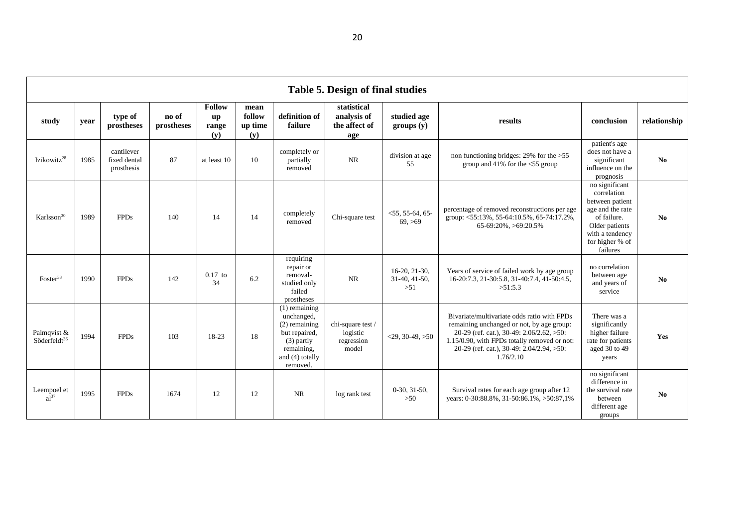|                                         | Table 5. Design of final studies |                                          |                     |                                                  |                                  |                                                                                                                                |                                                      |                                           |                                                                                                                                                                                                                                                 |                                                                                                                                                         |                |  |
|-----------------------------------------|----------------------------------|------------------------------------------|---------------------|--------------------------------------------------|----------------------------------|--------------------------------------------------------------------------------------------------------------------------------|------------------------------------------------------|-------------------------------------------|-------------------------------------------------------------------------------------------------------------------------------------------------------------------------------------------------------------------------------------------------|---------------------------------------------------------------------------------------------------------------------------------------------------------|----------------|--|
| study                                   | year                             | type of<br>prostheses                    | no of<br>prostheses | Follow<br>$\mathbf{u}\mathbf{p}$<br>range<br>(v) | mean<br>follow<br>up time<br>(y) | definition of<br>failure                                                                                                       | statistical<br>analysis of<br>the affect of<br>age   | studied age<br>groups(y)                  | results                                                                                                                                                                                                                                         | conclusion                                                                                                                                              | relationship   |  |
| Izikowitz <sup>28</sup>                 | 1985                             | cantilever<br>fixed dental<br>prosthesis | 87                  | at least 10                                      | 10                               | completely or<br>partially<br>removed                                                                                          | <b>NR</b>                                            | division at age<br>55                     | non functioning bridges: $29\%$ for the $>55$<br>group and 41% for the <55 group                                                                                                                                                                | patient's age<br>does not have a<br>significant<br>influence on the<br>prognosis                                                                        | N <sub>0</sub> |  |
| Karlsson <sup>30</sup>                  | 1989                             | <b>FPDs</b>                              | 140                 | 14                                               | 14                               | completely<br>removed                                                                                                          | Chi-square test                                      | $<$ 55, 55-64, 65-<br>69, >69             | percentage of removed reconstructions per age<br>group: <55:13%, 55-64:10.5%, 65-74:17.2%,<br>65-69:20%, >69:20.5%                                                                                                                              | no significant<br>correlation<br>between patient<br>age and the rate<br>of failure.<br>Older patients<br>with a tendency<br>for higher % of<br>failures | N <sub>0</sub> |  |
| Foster <sup>33</sup>                    | 1990                             | <b>FPDs</b>                              | 142                 | $0.17$ to<br>34                                  | 6.2                              | requiring<br>repair or<br>removal-<br>studied only<br>failed<br>prostheses                                                     | <b>NR</b>                                            | $16-20, 21-30,$<br>31-40, 41-50,<br>$>51$ | Years of service of failed work by age group<br>16-20:7.3, 21-30:5.8, 31-40:7.4, 41-50:4.5,<br>>51:5.3                                                                                                                                          | no correlation<br>between age<br>and years of<br>service                                                                                                | N <sub>0</sub> |  |
| Palmqvist &<br>Söderfeldt <sup>36</sup> | 1994                             | <b>FPDs</b>                              | 103                 | 18-23                                            | 18                               | $(1)$ remaining<br>unchanged,<br>$(2)$ remaining<br>but repaired,<br>$(3)$ partly<br>remaining,<br>and (4) totally<br>removed. | chi-square test /<br>logistic<br>regression<br>model | $<$ 29, 30-49, >50                        | Bivariate/multivariate odds ratio with FPDs<br>remaining unchanged or not, by age group:<br>20-29 (ref. cat.), 30-49: 2.06/2.62, >50:<br>1.15/0.90, with FPDs totally removed or not:<br>20-29 (ref. cat.), 30-49: 2.04/2.94, >50:<br>1.76/2.10 | There was a<br>significantly<br>higher failure<br>rate for patients<br>aged 30 to 49<br>years                                                           | Yes            |  |
| Leempoel et<br>$a^{137}$                | 1995                             | <b>FPDs</b>                              | 1674                | 12                                               | 12                               | NR                                                                                                                             | log rank test                                        | $0-30, 31-50,$<br>$>50$                   | Survival rates for each age group after 12<br>years: 0-30:88.8%, 31-50:86.1%, >50:87,1%                                                                                                                                                         | no significant<br>difference in<br>the survival rate<br>between<br>different age<br>groups                                                              | N <sub>0</sub> |  |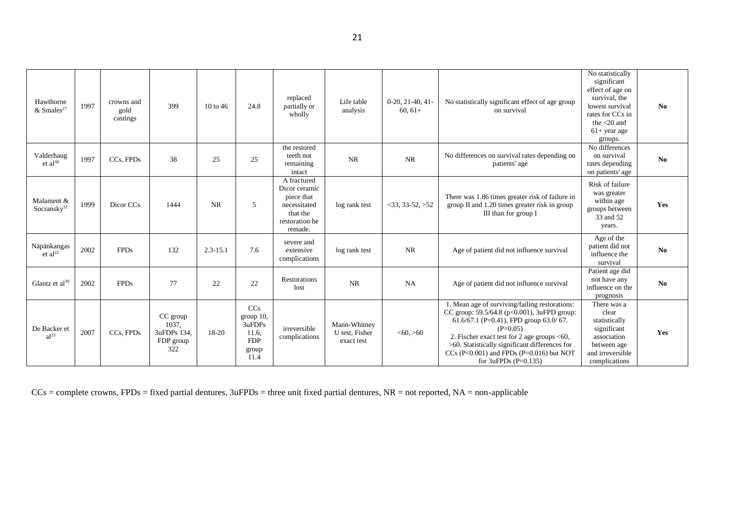| Hawthorne<br>$&$ Smales <sup>27</sup> | 1997 | crowns and<br>gold<br>castings | 399                                                  | $10$ to 46   | 24.8                                                                  | replaced<br>partially or<br>wholly                                                                  | Life table<br>analysis                       | $0-20, 21-40, 41$<br>$60, 61+$ | No statistically significant effect of age group<br>on survival                                                                                                                                                                                                                                                                 | No statistically<br>significant<br>effect of age on<br>survival, the<br>lowest survival<br>rates for CCs in<br>the $<$ 20 and<br>$61+$ year age<br>groups. | No  |
|---------------------------------------|------|--------------------------------|------------------------------------------------------|--------------|-----------------------------------------------------------------------|-----------------------------------------------------------------------------------------------------|----------------------------------------------|--------------------------------|---------------------------------------------------------------------------------------------------------------------------------------------------------------------------------------------------------------------------------------------------------------------------------------------------------------------------------|------------------------------------------------------------------------------------------------------------------------------------------------------------|-----|
| Valderhaug<br>et al $^{38}$           | 1997 | CCs, FPDs                      | 38                                                   | 25           | 25                                                                    | the restored<br>teeth not<br>remaining<br>intact                                                    | <b>NR</b>                                    | <b>NR</b>                      | No differences on survival rates depending on<br>patients' age                                                                                                                                                                                                                                                                  | No differences<br>on survival<br>rates depending<br>on patients' age                                                                                       | No  |
| Malament &<br>Socransky $31$          | 1999 | Dicor CCs                      | 1444                                                 | <b>NR</b>    | 5                                                                     | A fractured<br>Dicor ceramic<br>piece that<br>necessitated<br>that the<br>restoration be<br>remade. | log rank test                                | $33.33 - 52.$ $>52$            | There was 1.86 times greater risk of failure in<br>group II and 1.20 times greater risk in group<br>III than for group I                                                                                                                                                                                                        | Risk of failure<br>was greater<br>within age<br>groups between<br>33 and 52<br>years.                                                                      | Yes |
| Näpänkangas<br>et al $^{22}$          | 2002 | <b>FPDs</b>                    | 132                                                  | $2.3 - 15.1$ | 7.6                                                                   | severe and<br>extensive<br>complications                                                            | log rank test                                | <b>NR</b>                      | Age of patient did not influence survival                                                                                                                                                                                                                                                                                       | Age of the<br>patient did not<br>influence the<br>survival                                                                                                 | No  |
| Glantz et $al^{39}$                   | 2002 | <b>FPDs</b>                    | 77                                                   | 22           | 22                                                                    | Restorations<br>lost                                                                                | <b>NR</b>                                    | <b>NA</b>                      | Age of patient did not influence survival                                                                                                                                                                                                                                                                                       | Patient age did<br>not have any<br>influence on the<br>prognosis                                                                                           | No  |
| De Backer et<br>al <sup>23</sup>      | 2007 | CCs, FPDs                      | CC group<br>1037.<br>3uFDPs 134,<br>FDP group<br>322 | 18-20        | CCs<br>group $10$ ,<br>3uFDPs<br>11.6.<br><b>FDP</b><br>group<br>11.4 | irreversible<br>complications                                                                       | Mann-Whitney<br>U test, Fisher<br>exact test | < 60, > 60                     | 1. Mean age of surviving/failing restorations:<br>CC group: 59.5/64.8 (p<0.001), 3uFPD group:<br>61.6/67.1 (P=0.41), FPD group 63.0/67.<br>$(P=0.05)$<br>2. Fischer exact test for 2 age groups <60,<br>$>60$ . Statistically significant differences for<br>CCs (P<0.001) and FPDs (P=0.016) but NOT<br>for $3uFPDs$ (P=0.135) | There was a<br>clear<br>statistically<br>significant<br>association<br>between age<br>and irreversible<br>complications                                    | Yes |

 $CCs =$  complete crowns, FPDs = fixed partial dentures,  $3uFPDs =$  three unit fixed partial dentures,  $NR =$  not reported,  $NA =$  non-applicable